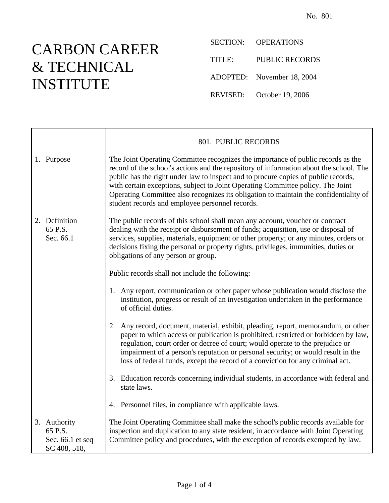## CARBON CAREER & TECHNICAL INSTITUTE

SECTION: OPERATIONS TITLE: PUBLIC RECORDS ADOPTED: November 18, 2004 REVISED: October 19, 2006

|                                                               | 801. PUBLIC RECORDS                                                                                                                                                                                                                                                                                                                                                                                                                                                                             |
|---------------------------------------------------------------|-------------------------------------------------------------------------------------------------------------------------------------------------------------------------------------------------------------------------------------------------------------------------------------------------------------------------------------------------------------------------------------------------------------------------------------------------------------------------------------------------|
| 1. Purpose                                                    | The Joint Operating Committee recognizes the importance of public records as the<br>record of the school's actions and the repository of information about the school. The<br>public has the right under law to inspect and to procure copies of public records,<br>with certain exceptions, subject to Joint Operating Committee policy. The Joint<br>Operating Committee also recognizes its obligation to maintain the confidentiality of<br>student records and employee personnel records. |
| 2. Definition<br>65 P.S.<br>Sec. 66.1                         | The public records of this school shall mean any account, voucher or contract<br>dealing with the receipt or disbursement of funds; acquisition, use or disposal of<br>services, supplies, materials, equipment or other property; or any minutes, orders or<br>decisions fixing the personal or property rights, privileges, immunities, duties or<br>obligations of any person or group.                                                                                                      |
|                                                               | Public records shall not include the following:                                                                                                                                                                                                                                                                                                                                                                                                                                                 |
|                                                               | 1. Any report, communication or other paper whose publication would disclose the<br>institution, progress or result of an investigation undertaken in the performance<br>of official duties.                                                                                                                                                                                                                                                                                                    |
|                                                               | 2. Any record, document, material, exhibit, pleading, report, memorandum, or other<br>paper to which access or publication is prohibited, restricted or forbidden by law,<br>regulation, court order or decree of court; would operate to the prejudice or<br>impairment of a person's reputation or personal security; or would result in the<br>loss of federal funds, except the record of a conviction for any criminal act.                                                                |
|                                                               | 3. Education records concerning individual students, in accordance with federal and<br>state laws.                                                                                                                                                                                                                                                                                                                                                                                              |
|                                                               | 4. Personnel files, in compliance with applicable laws.                                                                                                                                                                                                                                                                                                                                                                                                                                         |
| 3. Authority<br>65 P.S.<br>Sec. $66.1$ et seq<br>SC 408, 518, | The Joint Operating Committee shall make the school's public records available for<br>inspection and duplication to any state resident, in accordance with Joint Operating<br>Committee policy and procedures, with the exception of records exempted by law.                                                                                                                                                                                                                                   |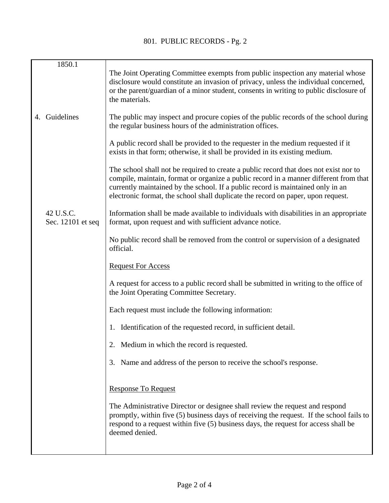| 1850.1                         |                                                                                                                                                                                                                                                                                                                                                       |
|--------------------------------|-------------------------------------------------------------------------------------------------------------------------------------------------------------------------------------------------------------------------------------------------------------------------------------------------------------------------------------------------------|
|                                | The Joint Operating Committee exempts from public inspection any material whose<br>disclosure would constitute an invasion of privacy, unless the individual concerned,<br>or the parent/guardian of a minor student, consents in writing to public disclosure of<br>the materials.                                                                   |
| 4. Guidelines                  | The public may inspect and procure copies of the public records of the school during<br>the regular business hours of the administration offices.                                                                                                                                                                                                     |
|                                | A public record shall be provided to the requester in the medium requested if it<br>exists in that form; otherwise, it shall be provided in its existing medium.                                                                                                                                                                                      |
|                                | The school shall not be required to create a public record that does not exist nor to<br>compile, maintain, format or organize a public record in a manner different from that<br>currently maintained by the school. If a public record is maintained only in an<br>electronic format, the school shall duplicate the record on paper, upon request. |
| 42 U.S.C.<br>Sec. 12101 et seq | Information shall be made available to individuals with disabilities in an appropriate<br>format, upon request and with sufficient advance notice.                                                                                                                                                                                                    |
|                                | No public record shall be removed from the control or supervision of a designated<br>official.                                                                                                                                                                                                                                                        |
|                                | <b>Request For Access</b>                                                                                                                                                                                                                                                                                                                             |
|                                | A request for access to a public record shall be submitted in writing to the office of<br>the Joint Operating Committee Secretary.                                                                                                                                                                                                                    |
|                                | Each request must include the following information:                                                                                                                                                                                                                                                                                                  |
|                                | 1. Identification of the requested record, in sufficient detail.                                                                                                                                                                                                                                                                                      |
|                                | 2. Medium in which the record is requested.                                                                                                                                                                                                                                                                                                           |
|                                | 3. Name and address of the person to receive the school's response.                                                                                                                                                                                                                                                                                   |
|                                | <b>Response To Request</b>                                                                                                                                                                                                                                                                                                                            |
|                                | The Administrative Director or designee shall review the request and respond<br>promptly, within five (5) business days of receiving the request. If the school fails to<br>respond to a request within five (5) business days, the request for access shall be<br>deemed denied.                                                                     |
|                                |                                                                                                                                                                                                                                                                                                                                                       |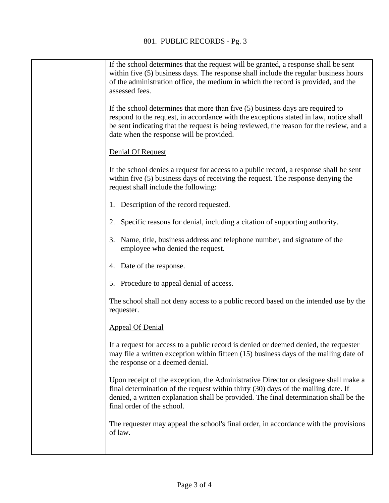| If the school determines that the request will be granted, a response shall be sent<br>within five (5) business days. The response shall include the regular business hours<br>of the administration office, the medium in which the record is provided, and the<br>assessed fees.                             |
|----------------------------------------------------------------------------------------------------------------------------------------------------------------------------------------------------------------------------------------------------------------------------------------------------------------|
| If the school determines that more than five (5) business days are required to<br>respond to the request, in accordance with the exceptions stated in law, notice shall<br>be sent indicating that the request is being reviewed, the reason for the review, and a<br>date when the response will be provided. |
| Denial Of Request                                                                                                                                                                                                                                                                                              |
| If the school denies a request for access to a public record, a response shall be sent<br>within five (5) business days of receiving the request. The response denying the<br>request shall include the following:                                                                                             |
| 1. Description of the record requested.                                                                                                                                                                                                                                                                        |
| 2. Specific reasons for denial, including a citation of supporting authority.                                                                                                                                                                                                                                  |
| 3. Name, title, business address and telephone number, and signature of the<br>employee who denied the request.                                                                                                                                                                                                |
| 4. Date of the response.                                                                                                                                                                                                                                                                                       |
| 5. Procedure to appeal denial of access.                                                                                                                                                                                                                                                                       |
| The school shall not deny access to a public record based on the intended use by the<br>requester.                                                                                                                                                                                                             |
| <b>Appeal Of Denial</b>                                                                                                                                                                                                                                                                                        |
| If a request for access to a public record is denied or deemed denied, the requester<br>may file a written exception within fifteen (15) business days of the mailing date of<br>the response or a deemed denial.                                                                                              |
| Upon receipt of the exception, the Administrative Director or designee shall make a<br>final determination of the request within thirty (30) days of the mailing date. If<br>denied, a written explanation shall be provided. The final determination shall be the<br>final order of the school.               |
| The requester may appeal the school's final order, in accordance with the provisions<br>of law.                                                                                                                                                                                                                |
|                                                                                                                                                                                                                                                                                                                |